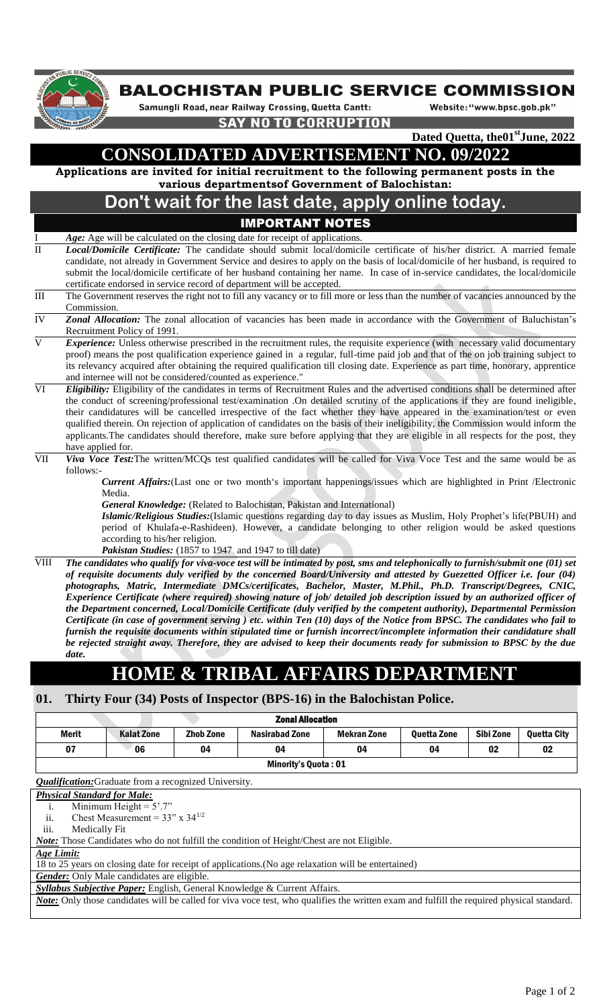

### **BALOCHISTAN PUBLIC SERVICE COMMISSION**

Samungli Road, near Railway Crossing, Quetta Cantt:

Website: "www.bpsc.gob.pk"

**SAY NO TO CORRUPTION** 

**Dated Quetta, the01stJune, 2022**

# **CONSOLIDATED ADVERTISEMENT NO. 09/2022**

**Applications are invited for initial recruitment to the following permanent posts in the various departmentsof Government of Balochistan:**

## **Don't wait for the last date, apply online today.**

### IMPORTANT NOTES

- Age: Age will be calculated on the closing date for receipt of applications.
- II *Local/Domicile Certificate:* The candidate should submit local/domicile certificate of his/her district. A married female candidate, not already in Government Service and desires to apply on the basis of local/domicile of her husband, is required to submit the local/domicile certificate of her husband containing her name. In case of in-service candidates, the local/domicile certificate endorsed in service record of department will be accepted.
- III The Government reserves the right not to fill any vacancy or to fill more or less than the number of vacancies announced by the Commission.
- IV *Zonal Allocation:* The zonal allocation of vacancies has been made in accordance with the Government of Baluchistan's Recruitment Policy of 1991.
- *Experience:* Unless otherwise prescribed in the recruitment rules, the requisite experience (with necessary valid documentary proof) means the post qualification experience gained in a regular, full-time paid job and that of the on job training subject to its relevancy acquired after obtaining the required qualification till closing date. Experience as part time, honorary, apprentice and internee will not be considered/counted as experience."
- VI *Eligibility:* Eligibility of the candidates in terms of Recruitment Rules and the advertised conditions shall be determined after the conduct of screening/professional test/examination .On detailed scrutiny of the applications if they are found ineligible, their candidatures will be cancelled irrespective of the fact whether they have appeared in the examination/test or even qualified therein. On rejection of application of candidates on the basis of their ineligibility, the Commission would inform the applicants.The candidates should therefore, make sure before applying that they are eligible in all respects for the post, they have applied for.
- VII *Viva Voce Test:*The written/MCQs test qualified candidates will be called for Viva Voce Test and the same would be as follows:-

*Current Affairs:*(Last one or two month's important happenings/issues which are highlighted in Print /Electronic Media.

*General Knowledge:* (Related to Balochistan, Pakistan and International)

*Islamic/Religious Studies:*(Islamic questions regarding day to day issues as Muslim, Holy Prophet's life(PBUH) and period of Khulafa-e-Rashideen). However, a candidate belonging to other religion would be asked questions according to his/her religion.

- *Pakistan Studies:* (1857 to 1947 and 1947 to till date)
- VIII *The candidates who qualify for viva-voce test will be intimated by post, sms and telephonically to furnish/submit one (01) set of requisite documents duly verified by the concerned Board/University and attested by Guezetted Officer i.e. four (04) photographs, Matric, Intermediate DMCs/certificates, Bachelor, Master, M.Phil., Ph.D. Transcript/Degrees, CNIC, Experience Certificate (where required) showing nature of job/ detailed job description issued by an authorized officer of the Department concerned, Local/Domicile Certificate (duly verified by the competent authority), Departmental Permission Certificate (in case of government serving ) etc. within Ten (10) days of the Notice from BPSC. The candidates who fail to furnish the requisite documents within stipulated time or furnish incorrect/incomplete information their candidature shall be rejected straight away. Therefore, they are advised to keep their documents ready for submission to BPSC by the due date.*

## **HOME & TRIBAL AFFAIRS DEPARTM**

#### **01. Thirty Four (34) Posts of Inspector (BPS-16) in the Balochistan Police.**

| <b>Zonal Allocation</b>     |                   |                  |                       |                    |                    |           |                    |  |  |  |  |
|-----------------------------|-------------------|------------------|-----------------------|--------------------|--------------------|-----------|--------------------|--|--|--|--|
| <b>Merit</b>                | <b>Kalat Zone</b> | <b>Zhob Zone</b> | <b>Nasirabad Zone</b> | <b>Mekran Zone</b> | <b>Ouetta Zone</b> | Sibi Zone | <b>Ouetta City</b> |  |  |  |  |
| 07                          | 06                | 04               | 04                    | 04                 | 04                 | 02        | 02                 |  |  |  |  |
| <b>Minority's Quota: 01</b> |                   |                  |                       |                    |                    |           |                    |  |  |  |  |

*Qualification:*Graduate from a recognized University.

#### *Physical Standard for Male:*

i. Minimum Height =  $5^{\circ}$ .7"

ii. Chest Measurement =  $33'' \times 34^{1/2}$ 

iii. Medically Fit

*Note:* Those Candidates who do not fulfill the condition of Height/Chest are not Eligible.

*Age Limit:*

18 to 25 years on closing date for receipt of applications.(No age relaxation will be entertained)

**Gender:** Only Male candidates are eligible.

*Syllabus Subjective Paper:* English, General Knowledge & Current Affairs.

*Note:* Only those candidates will be called for viva voce test, who qualifies the written exam and fulfill the required physical standard.